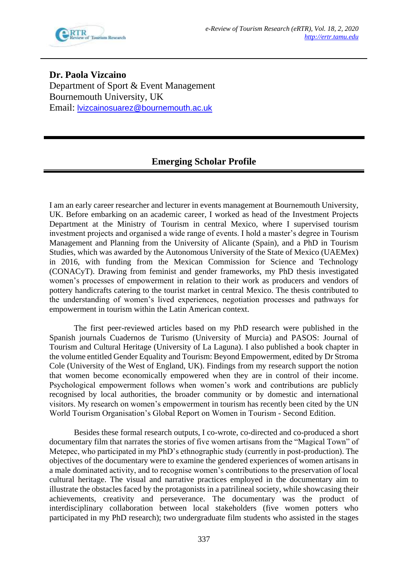

**Dr. Paola Vizcaino** Department of Sport & Event Management Bournemouth University, UK Email: [lvizcainosuarez@bournemouth.ac.uk](mailto:lvizcainosuarez@bournemouth.ac.uk)

## **Emerging Scholar Profile**

I am an early career researcher and lecturer in events management at Bournemouth University, UK. Before embarking on an academic career, I worked as head of the Investment Projects Department at the Ministry of Tourism in central Mexico, where I supervised tourism investment projects and organised a wide range of events. I hold a master's degree in Tourism Management and Planning from the University of Alicante (Spain), and a PhD in Tourism Studies, which was awarded by the Autonomous University of the State of Mexico (UAEMex) in 2016, with funding from the Mexican Commission for Science and Technology (CONACyT). Drawing from feminist and gender frameworks, my PhD thesis investigated women's processes of empowerment in relation to their work as producers and vendors of pottery handicrafts catering to the tourist market in central Mexico. The thesis contributed to the understanding of women's lived experiences, negotiation processes and pathways for empowerment in tourism within the Latin American context.

The first peer-reviewed articles based on my PhD research were published in the Spanish journals Cuadernos de Turismo (University of Murcia) and PASOS: Journal of Tourism and Cultural Heritage (University of La Laguna). I also published a book chapter in the volume entitled Gender Equality and Tourism: Beyond Empowerment, edited by Dr Stroma Cole (University of the West of England, UK). Findings from my research support the notion that women become economically empowered when they are in control of their income. Psychological empowerment follows when women's work and contributions are publicly recognised by local authorities, the broader community or by domestic and international visitors. My research on women's empowerment in tourism has recently been cited by the UN World Tourism Organisation's Global Report on Women in Tourism - Second Edition.

Besides these formal research outputs, I co-wrote, co-directed and co-produced a short documentary film that narrates the stories of five women artisans from the "Magical Town" of Metepec, who participated in my PhD's ethnographic study (currently in post-production). The objectives of the documentary were to examine the gendered experiences of women artisans in a male dominated activity, and to recognise women's contributions to the preservation of local cultural heritage. The visual and narrative practices employed in the documentary aim to illustrate the obstacles faced by the protagonists in a patrilineal society, while showcasing their achievements, creativity and perseverance. The documentary was the product of interdisciplinary collaboration between local stakeholders (five women potters who participated in my PhD research); two undergraduate film students who assisted in the stages